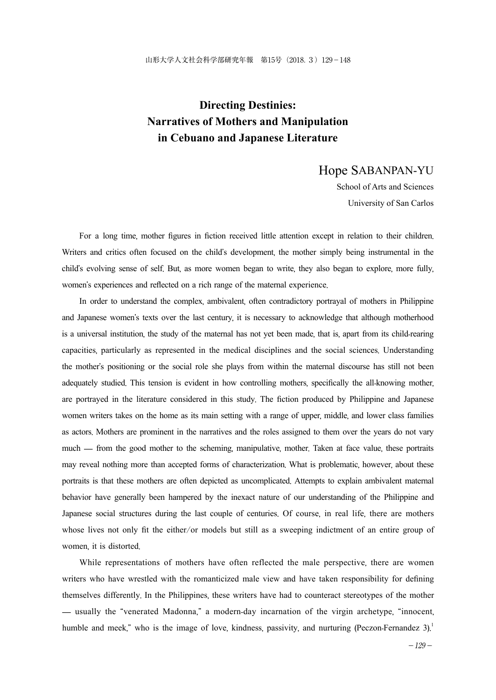# **Directing Destinies: Narratives of Mothers and Manipulation in Cebuano and Japanese Literature**

### Hope SABANPAN-YU

School of Arts and Sciences University of San Carlos

For a long time, mother figures in fiction received little attention except in relation to their children. Writers and critics often focused on the child's development, the mother simply being instrumental in the child's evolving sense of self. But, as more women began to write, they also began to explore, more fully, women's experiences and reflected on a rich range of the maternal experience.

In order to understand the complex, ambivalent, often contradictory portrayal of mothers in Philippine and Japanese women's texts over the last century, it is necessary to acknowledge that although motherhood is a universal institution, the study of the maternal has not yet been made, that is, apart from its child-rearing capacities, particularly as represented in the medical disciplines and the social sciences. Understanding the mother's positioning or the social role she plays from within the maternal discourse has still not been adequately studied. This tension is evident in how controlling mothers, specifically the all-knowing mother, are portrayed in the literature considered in this study. The fiction produced by Philippine and Japanese women writers takes on the home as its main setting with a range of upper, middle, and lower class families as actors. Mothers are prominent in the narratives and the roles assigned to them over the years do not vary much — from the good mother to the scheming, manipulative, mother. Taken at face value, these portraits may reveal nothing more than accepted forms of characterization. What is problematic, however, about these portraits is that these mothers are often depicted as uncomplicated. Attempts to explain ambivalent maternal behavior have generally been hampered by the inexact nature of our understanding of the Philippine and Japanese social structures during the last couple of centuries. Of course, in real life, there are mothers whose lives not only fit the either/or models but still as a sweeping indictment of an entire group of women, it is distorted.

While representations of mothers have often reflected the male perspective, there are women writers who have wrestled with the romanticized male view and have taken responsibility for defining themselves differently. In the Philippines, these writers have had to counteract stereotypes of the mother — usually the "venerated Madonna," a modern-day incarnation of the virgin archetype, "innocent, humble and meek," who is the image of love, kindness, passivity, and nurturing (Peczon-Fernandez  $3$ ).<sup>1</sup>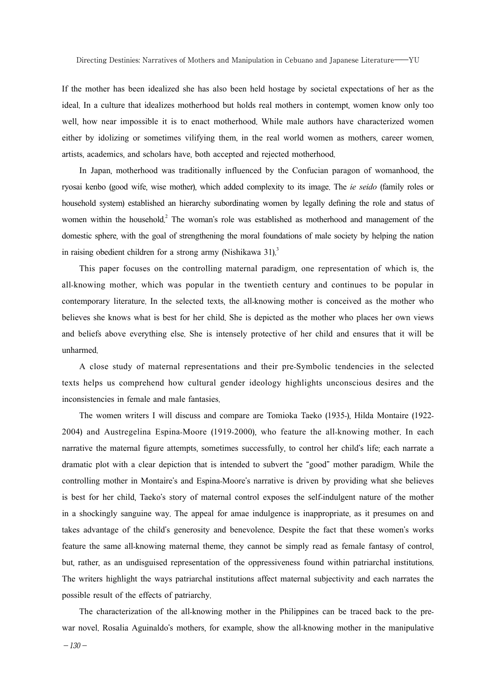If the mother has been idealized she has also been held hostage by societal expectations of her as the ideal. In a culture that idealizes motherhood but holds real mothers in contempt, women know only too well, how near impossible it is to enact motherhood. While male authors have characterized women either by idolizing or sometimes vilifying them, in the real world women as mothers, career women, artists, academics, and scholars have, both accepted and rejected motherhood.

In Japan, motherhood was traditionally influenced by the Confucian paragon of womanhood, the ryosai kenbo (good wife, wise mother), which added complexity to its image. The *ie seido* (family roles or household system) established an hierarchy subordinating women by legally defining the role and status of women within the household.<sup>2</sup> The woman's role was established as motherhood and management of the domestic sphere, with the goal of strengthening the moral foundations of male society by helping the nation in raising obedient children for a strong army (Nishikawa 31).<sup>3</sup>

This paper focuses on the controlling maternal paradigm, one representation of which is, the all-knowing mother, which was popular in the twentieth century and continues to be popular in contemporary literature. In the selected texts, the all-knowing mother is conceived as the mother who believes she knows what is best for her child. She is depicted as the mother who places her own views and beliefs above everything else. She is intensely protective of her child and ensures that it will be unharmed.

A close study of maternal representations and their pre-Symbolic tendencies in the selected texts helps us comprehend how cultural gender ideology highlights unconscious desires and the inconsistencies in female and male fantasies.

The women writers I will discuss and compare are Tomioka Taeko (1935-), Hilda Montaire (1922- 2004) and Austregelina Espina-Moore (1919-2000), who feature the all-knowing mother. In each narrative the maternal figure attempts, sometimes successfully, to control her child's life; each narrate a dramatic plot with a clear depiction that is intended to subvert the "good" mother paradigm. While the controlling mother in Montaire's and Espina-Moore's narrative is driven by providing what she believes is best for her child, Taeko's story of maternal control exposes the self-indulgent nature of the mother in a shockingly sanguine way. The appeal for amae indulgence is inappropriate, as it presumes on and takes advantage of the child's generosity and benevolence. Despite the fact that these women's works feature the same all-knowing maternal theme, they cannot be simply read as female fantasy of control, but, rather, as an undisguised representation of the oppressiveness found within patriarchal institutions. The writers highlight the ways patriarchal institutions affect maternal subjectivity and each narrates the possible result of the effects of patriarchy.

The characterization of the all-knowing mother in the Philippines can be traced back to the prewar novel. Rosalia Aguinaldo's mothers, for example, show the all-knowing mother in the manipulative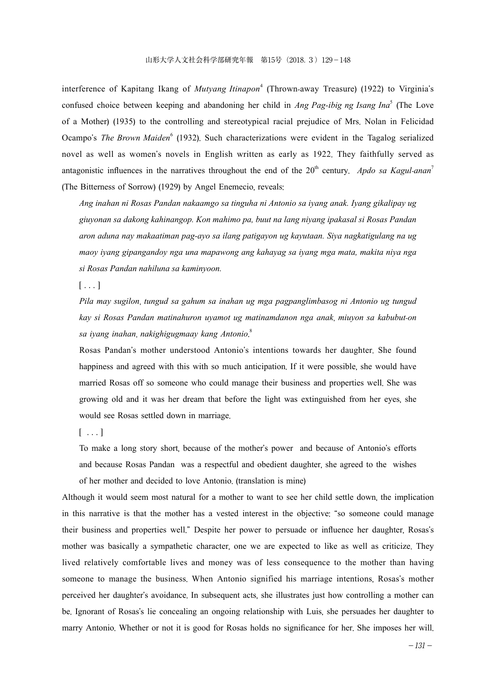interference of Kapitang Ikang of *Mutyang Itinapon*<sup>4</sup> (Thrown-away Treasure) (1922) to Virginia's confused choice between keeping and abandoning her child in *Ang Pag-ibig ng Isang Ina*<sup>5</sup> (The Love of a Mother) (1935) to the controlling and stereotypical racial prejudice of Mrs. Nolan in Felicidad Ocampo's *The Brown Maiden*<sup>6</sup> (1932). Such characterizations were evident in the Tagalog serialized novel as well as women's novels in English written as early as 1922. They faithfully served as antagonistic influences in the narratives throughout the end of the  $20<sup>th</sup>$  century. *Apdo sa Kagul-anan*<sup>7</sup> (The Bitterness of Sorrow) (1929) by Angel Enemecio, reveals:

*Ang inahan ni Rosas Pandan nakaamgo sa tinguha ni Antonio sa iyang anak. Iyang gikalipay ug giuyonan sa dakong kahinangop. Kon mahimo pa, buut na lang niyang ipakasal si Rosas Pandan aron aduna nay makaatiman pag-ayo sa ilang patigayon ug kayutaan. Siya nagkatigulang na ug maoy iyang gipangandoy nga una mapawong ang kahayag sa iyang mga mata, makita niya nga si Rosas Pandan nahiluna sa kaminyoon.* 

 $[\,\ldots]$ 

*Pila may sugilon*, *tungud sa gahum sa inahan ug mga pagpanglimbasog ni Antonio ug tungud kay si Rosas Pandan matinahuron uyamot ug matinamdanon nga anak*, *miuyon sa kabubut*-*on sa iyang inahan*, *nakighigugmaay kang Antonio*. 8

Rosas Pandan's mother understood Antonio's intentions towards her daughter. She found happiness and agreed with this with so much anticipation. If it were possible, she would have married Rosas off so someone who could manage their business and properties well. She was growing old and it was her dream that before the light was extinguished from her eyes, she would see Rosas settled down in marriage.

 $[\ldots]$ 

To make a long story short, because of the mother's power and because of Antonio's efforts and because Rosas Pandan was a respectful and obedient daughter, she agreed to the wishes of her mother and decided to love Antonio. (translation is mine)

Although it would seem most natural for a mother to want to see her child settle down, the implication in this narrative is that the mother has a vested interest in the objective: "so someone could manage their business and properties well." Despite her power to persuade or influence her daughter, Rosas's mother was basically a sympathetic character, one we are expected to like as well as criticize. They lived relatively comfortable lives and money was of less consequence to the mother than having someone to manage the business. When Antonio signified his marriage intentions, Rosas's mother perceived her daughter's avoidance. In subsequent acts, she illustrates just how controlling a mother can be. Ignorant of Rosas's lie concealing an ongoing relationship with Luis, she persuades her daughter to marry Antonio. Whether or not it is good for Rosas holds no significance for her. She imposes her will.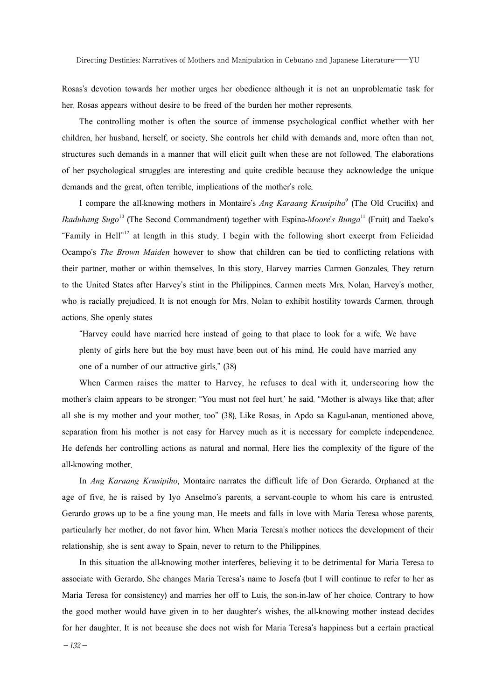Rosas's devotion towards her mother urges her obedience although it is not an unproblematic task for her. Rosas appears without desire to be freed of the burden her mother represents.

The controlling mother is often the source of immense psychological conflict whether with her children, her husband, herself, or society. She controls her child with demands and, more often than not, structures such demands in a manner that will elicit guilt when these are not followed. The elaborations of her psychological struggles are interesting and quite credible because they acknowledge the unique demands and the great, often terrible, implications of the mother's role.

I compare the all-knowing mothers in Montaire's *Ang Karaang Krusipiho*<sup>9</sup> (The Old Crucifix) and *Ikaduhang Sugo*<sup>10</sup> (The Second Commandment) together with Espina-*Moore*'*s Bunga*<sup>11</sup> (Fruit) and Taeko's "Family in Hell"<sup>12</sup> at length in this study. I begin with the following short excerpt from Felicidad Ocampo's *The Brown Maiden* however to show that children can be tied to conflicting relations with their partner, mother or within themselves. In this story, Harvey marries Carmen Gonzales. They return to the United States after Harvey's stint in the Philippines. Carmen meets Mrs. Nolan, Harvey's mother, who is racially prejudiced. It is not enough for Mrs. Nolan to exhibit hostility towards Carmen, through actions. She openly states

"Harvey could have married here instead of going to that place to look for a wife. We have plenty of girls here but the boy must have been out of his mind. He could have married any one of a number of our attractive girls." (38)

When Carmen raises the matter to Harvey, he refuses to deal with it, underscoring how the mother's claim appears to be stronger: "You must not feel hurt,' he said. "Mother is always like that; after all she is my mother and your mother, too" (38). Like Rosas, in Apdo sa Kagul-anan, mentioned above, separation from his mother is not easy for Harvey much as it is necessary for complete independence. He defends her controlling actions as natural and normal. Here lies the complexity of the figure of the all-knowing mother.

In *Ang Karaang Krusipiho*, Montaire narrates the difficult life of Don Gerardo. Orphaned at the age of five, he is raised by Iyo Anselmo's parents, a servant-couple to whom his care is entrusted. Gerardo grows up to be a fine young man. He meets and falls in love with Maria Teresa whose parents, particularly her mother, do not favor him. When Maria Teresa's mother notices the development of their relationship, she is sent away to Spain, never to return to the Philippines.

In this situation the all-knowing mother interferes, believing it to be detrimental for Maria Teresa to associate with Gerardo. She changes Maria Teresa's name to Josefa (but I will continue to refer to her as Maria Teresa for consistency) and marries her off to Luis, the son-in-law of her choice. Contrary to how the good mother would have given in to her daughter's wishes, the all-knowing mother instead decides for her daughter. It is not because she does not wish for Maria Teresa's happiness but a certain practical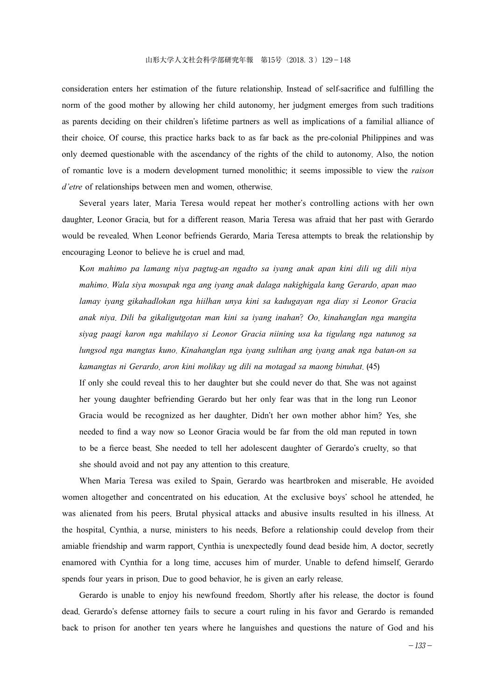consideration enters her estimation of the future relationship. Instead of self-sacrifice and fulfilling the norm of the good mother by allowing her child autonomy, her judgment emerges from such traditions as parents deciding on their children's lifetime partners as well as implications of a familial alliance of their choice. Of course, this practice harks back to as far back as the pre-colonial Philippines and was only deemed questionable with the ascendancy of the rights of the child to autonomy. Also, the notion of romantic love is a modern development turned monolithic; it seems impossible to view the *raison d'etre* of relationships between men and women, otherwise.

Several years later, Maria Teresa would repeat her mother's controlling actions with her own daughter, Leonor Gracia, but for a different reason. Maria Teresa was afraid that her past with Gerardo would be revealed. When Leonor befriends Gerardo, Maria Teresa attempts to break the relationship by encouraging Leonor to believe he is cruel and mad.

K*on mahimo pa lamang niya pagtug*-*an ngadto sa iyang anak apan kini dili ug dili niya mahimo*. *Wala siya mosupak nga ang iyang anak dalaga nakighigala kang Gerardo*, *apan mao lamay iyang gikahadlokan nga hiilhan unya kini sa kadugayan nga diay si Leonor Gracia anak niya*. *Dili ba gikaligutgotan man kini sa iyang inahan*? *Oo*, *kinahanglan nga mangita siyag paagi karon nga mahilayo si Leonor Gracia niining usa ka tigulang nga natunog sa lungsod nga mangtas kuno*. *Kinahanglan nga iyang sultihan ang iyang anak nga batan*-*on sa kamangtas ni Gerardo*, *aron kini molikay ug dili na motagad sa maong binuhat*. (45)

If only she could reveal this to her daughter but she could never do that. She was not against her young daughter befriending Gerardo but her only fear was that in the long run Leonor Gracia would be recognized as her daughter. Didn't her own mother abhor him? Yes, she needed to find a way now so Leonor Gracia would be far from the old man reputed in town to be a fierce beast. She needed to tell her adolescent daughter of Gerardo's cruelty, so that she should avoid and not pay any attention to this creature.

When Maria Teresa was exiled to Spain, Gerardo was heartbroken and miserable. He avoided women altogether and concentrated on his education. At the exclusive boys' school he attended, he was alienated from his peers. Brutal physical attacks and abusive insults resulted in his illness. At the hospital, Cynthia, a nurse, ministers to his needs. Before a relationship could develop from their amiable friendship and warm rapport, Cynthia is unexpectedly found dead beside him. A doctor, secretly enamored with Cynthia for a long time, accuses him of murder. Unable to defend himself, Gerardo spends four years in prison. Due to good behavior, he is given an early release.

Gerardo is unable to enjoy his newfound freedom. Shortly after his release, the doctor is found dead. Gerardo's defense attorney fails to secure a court ruling in his favor and Gerardo is remanded back to prison for another ten years where he languishes and questions the nature of God and his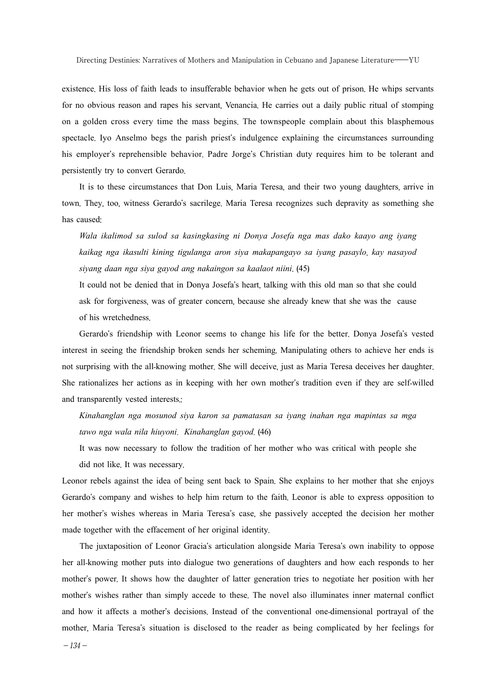existence. His loss of faith leads to insufferable behavior when he gets out of prison. He whips servants for no obvious reason and rapes his servant, Venancia. He carries out a daily public ritual of stomping on a golden cross every time the mass begins. The townspeople complain about this blasphemous spectacle. Iyo Anselmo begs the parish priest's indulgence explaining the circumstances surrounding his employer's reprehensible behavior. Padre Jorge's Christian duty requires him to be tolerant and persistently try to convert Gerardo.

It is to these circumstances that Don Luis, Maria Teresa, and their two young daughters, arrive in town. They, too, witness Gerardo's sacrilege. Maria Teresa recognizes such depravity as something she has caused:

*Wala ikalimod sa sulod sa kasingkasing ni Donya Josefa nga mas dako kaayo ang iyang kaikag nga ikasulti kining tigulanga aron siya makapangayo sa iyang pasaylo*, *kay nasayod siyang daan nga siya gayod ang nakaingon sa kaalaot niini*. (45)

It could not be denied that in Donya Josefa's heart, talking with this old man so that she could ask for forgiveness, was of greater concern, because she already knew that she was the cause of his wretchedness.

Gerardo's friendship with Leonor seems to change his life for the better. Donya Josefa's vested interest in seeing the friendship broken sends her scheming. Manipulating others to achieve her ends is not surprising with the all-knowing mother. She will deceive, just as Maria Teresa deceives her daughter. She rationalizes her actions as in keeping with her own mother's tradition even if they are self-willed and transparently vested interests.:

*Kinahanglan nga mosunod siya karon sa pamatasan sa iyang inahan nga mapintas sa mga tawo nga wala nila hiuyoni*. *Kinahanglan gayod*. (46)

It was now necessary to follow the tradition of her mother who was critical with people she

did not like. It was necessary.

Leonor rebels against the idea of being sent back to Spain. She explains to her mother that she enjoys Gerardo's company and wishes to help him return to the faith. Leonor is able to express opposition to her mother's wishes whereas in Maria Teresa's case, she passively accepted the decision her mother made together with the effacement of her original identity.

The juxtaposition of Leonor Gracia's articulation alongside Maria Teresa's own inability to oppose her all-knowing mother puts into dialogue two generations of daughters and how each responds to her mother's power. It shows how the daughter of latter generation tries to negotiate her position with her mother's wishes rather than simply accede to these. The novel also illuminates inner maternal conflict and how it affects a mother's decisions. Instead of the conventional one-dimensional portrayal of the mother, Maria Teresa's situation is disclosed to the reader as being complicated by her feelings for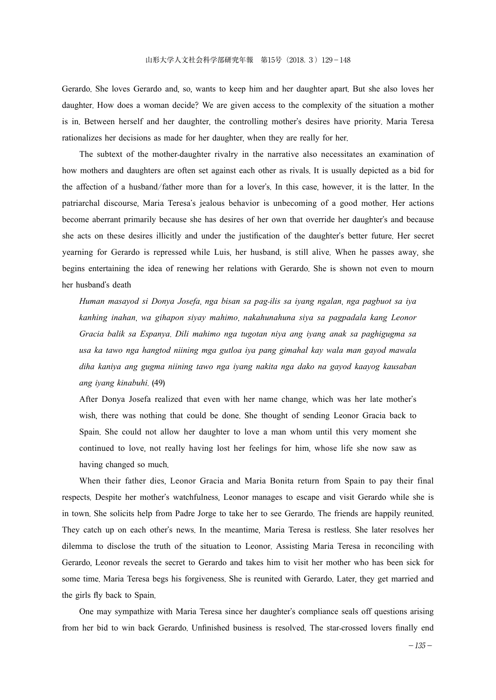Gerardo. She loves Gerardo and, so, wants to keep him and her daughter apart. But she also loves her daughter. How does a woman decide? We are given access to the complexity of the situation a mother is in. Between herself and her daughter, the controlling mother's desires have priority. Maria Teresa rationalizes her decisions as made for her daughter, when they are really for her.

The subtext of the mother-daughter rivalry in the narrative also necessitates an examination of how mothers and daughters are often set against each other as rivals. It is usually depicted as a bid for the affection of a husband/father more than for a lover's. In this case, however, it is the latter. In the patriarchal discourse, Maria Teresa's jealous behavior is unbecoming of a good mother. Her actions become aberrant primarily because she has desires of her own that override her daughter's and because she acts on these desires illicitly and under the justification of the daughter's better future. Her secret yearning for Gerardo is repressed while Luis, her husband, is still alive. When he passes away, she begins entertaining the idea of renewing her relations with Gerardo. She is shown not even to mourn her husband's death

*Human masayod si Donya Josefa*, *nga bisan sa pag*-*ilis sa iyang ngalan*, *nga pagbuot sa iya kanhing inahan*, *wa gihapon siyay mahimo*, *nakahunahuna siya sa pagpadala kang Leonor Gracia balik sa Espanya*. *Dili mahimo nga tugotan niya ang iyang anak sa paghigugma sa usa ka tawo nga hangtod niining mga gutloa iya pang gimahal kay wala man gayod mawala diha kaniya ang gugma niining tawo nga iyang nakita nga dako na gayod kaayog kausaban ang iyang kinabuhi*. (49)

After Donya Josefa realized that even with her name change, which was her late mother's wish, there was nothing that could be done. She thought of sending Leonor Gracia back to Spain. She could not allow her daughter to love a man whom until this very moment she continued to love, not really having lost her feelings for him, whose life she now saw as having changed so much.

When their father dies, Leonor Gracia and Maria Bonita return from Spain to pay their final respects. Despite her mother's watchfulness, Leonor manages to escape and visit Gerardo while she is in town. She solicits help from Padre Jorge to take her to see Gerardo. The friends are happily reunited. They catch up on each other's news. In the meantime, Maria Teresa is restless. She later resolves her dilemma to disclose the truth of the situation to Leonor. Assisting Maria Teresa in reconciling with Gerardo, Leonor reveals the secret to Gerardo and takes him to visit her mother who has been sick for some time. Maria Teresa begs his forgiveness. She is reunited with Gerardo. Later, they get married and the girls fly back to Spain.

One may sympathize with Maria Teresa since her daughter's compliance seals off questions arising from her bid to win back Gerardo. Unfinished business is resolved. The star-crossed lovers finally end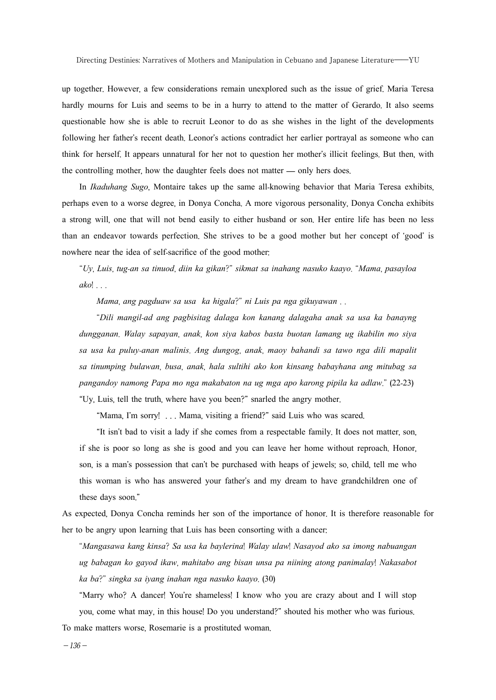up together. However, a few considerations remain unexplored such as the issue of grief. Maria Teresa hardly mourns for Luis and seems to be in a hurry to attend to the matter of Gerardo. It also seems questionable how she is able to recruit Leonor to do as she wishes in the light of the developments following her father's recent death. Leonor's actions contradict her earlier portrayal as someone who can think for herself. It appears unnatural for her not to question her mother's illicit feelings. But then, with the controlling mother, how the daughter feels does not matter — only hers does.

In *Ikaduhang Sugo*, Montaire takes up the same all-knowing behavior that Maria Teresa exhibits, perhaps even to a worse degree, in Donya Concha. A more vigorous personality, Donya Concha exhibits a strong will, one that will not bend easily to either husband or son. Her entire life has been no less than an endeavor towards perfection. She strives to be a good mother but her concept of 'good' is nowhere near the idea of self-sacrifice of the good mother:

"*Uy*, *Luis*, *tug*-*an sa tinuod*, *diin ka gikan*?" *sikmat sa inahang nasuko kaayo*. "*Mama*, *pasayloa ako*! . . .

*Mama*, *ang pagduaw sa usa ka higala*?" *ni Luis pa nga gikuyawan* . .

"*Dili mangil*-*ad ang pagbisitag dalaga kon kanang dalagaha anak sa usa ka banayng dungganan*. *Walay sapayan*, *anak*, *kon siya kabos basta buotan lamang ug ikabilin mo siya sa usa ka puluy*-*anan malinis*. *Ang dungog*, *anak*, *maoy bahandi sa tawo nga dili mapalit sa tinumping bulawan*, *busa*, *anak*, *hala sultihi ako kon kinsang babayhana ang mitubag sa pangandoy namong Papa mo nga makabaton na ug mga apo karong pipila ka adlaw*." (22-23) "Uy, Luis, tell the truth, where have you been?" snarled the angry mother.

"Mama, I'm sorry! . . . Mama, visiting a friend?" said Luis who was scared.

"It isn't bad to visit a lady if she comes from a respectable family. It does not matter, son, if she is poor so long as she is good and you can leave her home without reproach. Honor, son, is a man's possession that can't be purchased with heaps of jewels; so, child, tell me who this woman is who has answered your father's and my dream to have grandchildren one of these days soon."

As expected, Donya Concha reminds her son of the importance of honor. It is therefore reasonable for her to be angry upon learning that Luis has been consorting with a dancer:

"*Mangasawa kang kinsa*? *Sa usa ka baylerina*! *Walay ulaw*! *Nasayod ako sa imong nabuangan ug babagan ko gayod ikaw*, *mahitabo ang bisan unsa pa niining atong panimalay*! *Nakasabot ka ba*?" *singka sa iyang inahan nga nasuko kaayo*. (30)

"Marry who? A dancer! You're shameless! I know who you are crazy about and I will stop you, come what may, in this house! Do you understand?" shouted his mother who was furious.

To make matters worse, Rosemarie is a prostituted woman.

 $-136-$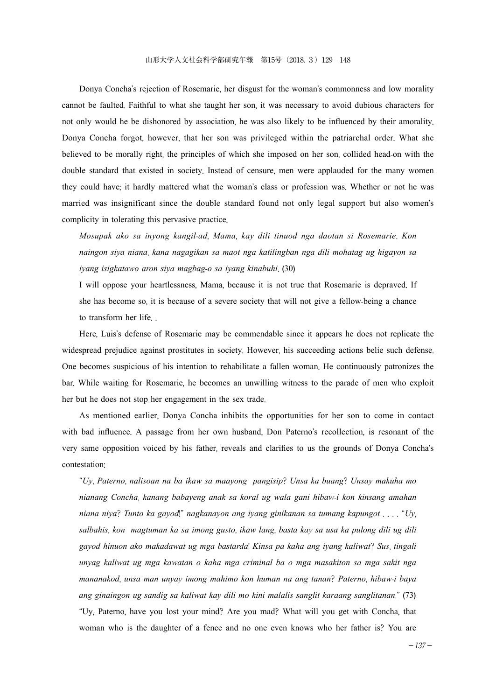Donya Concha's rejection of Rosemarie, her disgust for the woman's commonness and low morality cannot be faulted. Faithful to what she taught her son, it was necessary to avoid dubious characters for not only would he be dishonored by association, he was also likely to be influenced by their amorality. Donya Concha forgot, however, that her son was privileged within the patriarchal order. What she believed to be morally right, the principles of which she imposed on her son, collided head-on with the double standard that existed in society. Instead of censure, men were applauded for the many women they could have; it hardly mattered what the woman's class or profession was. Whether or not he was married was insignificant since the double standard found not only legal support but also women's complicity in tolerating this pervasive practice.

*Mosupak ako sa inyong kangil*-*ad*, *Mama*, *kay dili tinuod nga daotan si Rosemarie*. *Kon naingon siya niana*, *kana nagagikan sa maot nga katilingban nga dili mohatag ug higayon sa iyang isigkatawo aron siya magbag*-*o sa iyang kinabuhi*. (30)

I will oppose your heartlessness, Mama, because it is not true that Rosemarie is depraved. If she has become so, it is because of a severe society that will not give a fellow-being a chance to transform her life. .

Here, Luis's defense of Rosemarie may be commendable since it appears he does not replicate the widespread prejudice against prostitutes in society. However, his succeeding actions belie such defense. One becomes suspicious of his intention to rehabilitate a fallen woman. He continuously patronizes the bar. While waiting for Rosemarie, he becomes an unwilling witness to the parade of men who exploit her but he does not stop her engagement in the sex trade.

As mentioned earlier, Donya Concha inhibits the opportunities for her son to come in contact with bad influence. A passage from her own husband, Don Paterno's recollection, is resonant of the very same opposition voiced by his father, reveals and clarifies to us the grounds of Donya Concha's contestation:

"*Uy*, *Paterno*, *nalisoan na ba ikaw sa maayong pangisip*? *Unsa ka buang*? *Unsay makuha mo nianang Concha*, *kanang babayeng anak sa koral ug wala gani hibaw*-*i kon kinsang amahan niana niya*? *Tunto ka gayod*!" *nagkanayon ang iyang ginikanan sa tumang kapungot* . . . . "*Uy*, *salbahis*, *kon magtuman ka sa imong gusto*, *ikaw lang*, *basta kay sa usa ka pulong dili ug dili gayod hinuon ako makadawat ug mga bastarda*! *Kinsa pa kaha ang iyang kaliwat*? *Sus*, *tingali unyag kaliwat ug mga kawatan o kaha mga criminal ba o mga masakiton sa mga sakit nga mananakod*, *unsa man unyay imong mahimo kon human na ang tanan*? *Paterno*, *hibaw*-*i baya ang ginaingon ug sandig sa kaliwat kay dili mo kini malalis sanglit karaang sanglitanan*." (73) "Uy, Paterno, have you lost your mind? Are you mad? What will you get with Concha, that woman who is the daughter of a fence and no one even knows who her father is? You are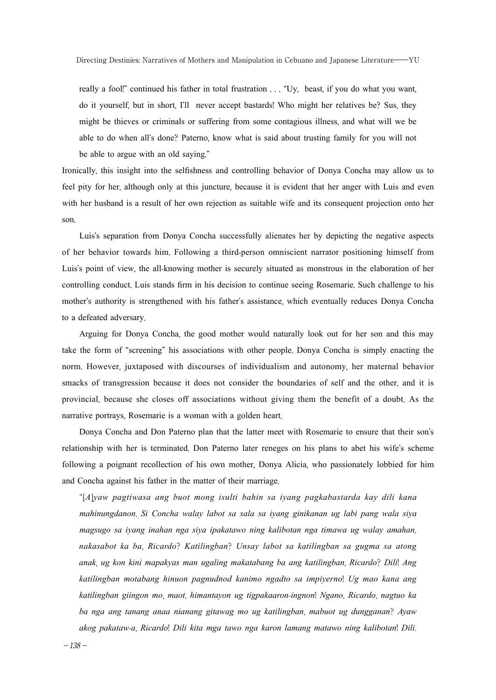really a fool!" continued his father in total frustration . . . "Uy, beast, if you do what you want, do it yourself, but in short, I'll never accept bastards! Who might her relatives be? Sus, they might be thieves or criminals or suffering from some contagious illness, and what will we be able to do when all's done? Paterno, know what is said about trusting family for you will not be able to argue with an old saying."

Ironically, this insight into the selfishness and controlling behavior of Donya Concha may allow us to feel pity for her, although only at this juncture, because it is evident that her anger with Luis and even with her husband is a result of her own rejection as suitable wife and its consequent projection onto her son.

Luis's separation from Donya Concha successfully alienates her by depicting the negative aspects of her behavior towards him. Following a third-person omniscient narrator positioning himself from Luis's point of view, the all-knowing mother is securely situated as monstrous in the elaboration of her controlling conduct. Luis stands firm in his decision to continue seeing Rosemarie. Such challenge to his mother's authority is strengthened with his father's assistance, which eventually reduces Donya Concha to a defeated adversary.

Arguing for Donya Concha, the good mother would naturally look out for her son and this may take the form of "screening" his associations with other people. Donya Concha is simply enacting the norm. However, juxtaposed with discourses of individualism and autonomy, her maternal behavior smacks of transgression because it does not consider the boundaries of self and the other, and it is provincial, because she closes off associations without giving them the benefit of a doubt. As the narrative portrays, Rosemarie is a woman with a golden heart.

Donya Concha and Don Paterno plan that the latter meet with Rosemarie to ensure that their son's relationship with her is terminated. Don Paterno later reneges on his plans to abet his wife's scheme following a poignant recollection of his own mother, Donya Alicia, who passionately lobbied for him and Concha against his father in the matter of their marriage.

"[*A*]*yaw pagtiwasa ang buot mong isulti bahin sa iyang pagkabastarda kay dili kana mahinungdanon*. *Si Concha walay labot sa sala sa iyang ginikanan ug labi pang wala siya magsugo sa iyang inahan nga siya ipakatawo ning kalibotan nga timawa ug walay amahan*, *nakasabot ka ba*, *Ricardo*? *Katilingban*? *Unsay labot sa katilingban sa gugma sa atong anak*, *ug kon kini mapakyas man ugaling makatabang ba ang katilingban*, *Ricardo*? *Dili*! *Ang katilingban motabang hinuon pagnudnod kanimo ngadto sa impiyerno*! *Ug mao kana ang katilingban giingon mo*, *maot*, *himantayon ug tigpakaaron*-*ingnon*! *Ngano*, *Ricardo*, *nagtuo ka ba nga ang tanang anaa nianang gitawag mo ug katilingban*, *mabuot ug dungganan*? *Ayaw akog pakataw*-*a*, *Ricardo*! *Dili kita mga tawo nga karon lamang matawo ning kalibotan*! *Dili*.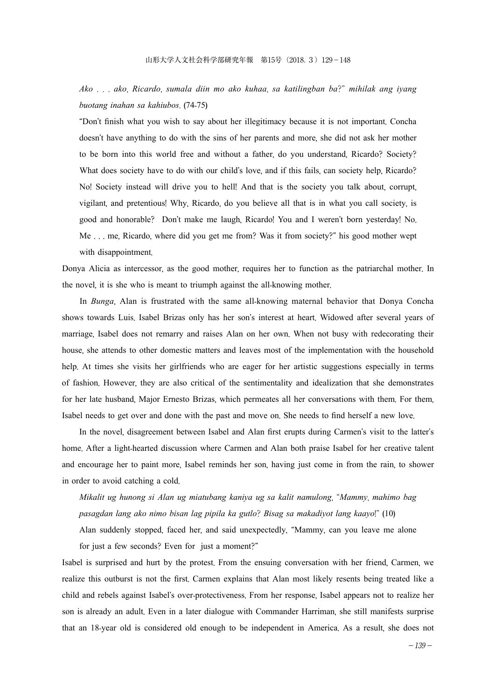*Ako* . . . *ako*, *Ricardo*, *sumala diin mo ako kuhaa*, *sa katilingban ba*?" *mihilak ang iyang buotang inahan sa kahiubos*. (74-75)

"Don't finish what you wish to say about her illegitimacy because it is not important. Concha doesn't have anything to do with the sins of her parents and more, she did not ask her mother to be born into this world free and without a father, do you understand, Ricardo? Society? What does society have to do with our child's love, and if this fails, can society help, Ricardo? No! Society instead will drive you to hell! And that is the society you talk about, corrupt, vigilant, and pretentious! Why, Ricardo, do you believe all that is in what you call society, is good and honorable? Don't make me laugh, Ricardo! You and I weren't born yesterday! No. Me . . . me, Ricardo, where did you get me from? Was it from society?" his good mother wept with disappointment.

Donya Alicia as intercessor, as the good mother, requires her to function as the patriarchal mother. In the novel, it is she who is meant to triumph against the all-knowing mother.

In *Bunga*, Alan is frustrated with the same all-knowing maternal behavior that Donya Concha shows towards Luis. Isabel Brizas only has her son's interest at heart. Widowed after several years of marriage, Isabel does not remarry and raises Alan on her own. When not busy with redecorating their house, she attends to other domestic matters and leaves most of the implementation with the household help. At times she visits her girlfriends who are eager for her artistic suggestions especially in terms of fashion. However, they are also critical of the sentimentality and idealization that she demonstrates for her late husband, Major Ernesto Brizas, which permeates all her conversations with them. For them, Isabel needs to get over and done with the past and move on. She needs to find herself a new love.

In the novel, disagreement between Isabel and Alan first erupts during Carmen's visit to the latter's home. After a light-hearted discussion where Carmen and Alan both praise Isabel for her creative talent and encourage her to paint more, Isabel reminds her son, having just come in from the rain, to shower in order to avoid catching a cold.

*Mikalit ug hunong si Alan ug miatubang kaniya ug sa kalit namulong*, "*Mammy*, *mahimo bag pasagdan lang ako nimo bisan lag pipila ka gutlo*? *Bisag sa makadiyot lang kaayo*!" (10)

Alan suddenly stopped, faced her, and said unexpectedly, "Mammy, can you leave me alone for just a few seconds? Even for just a moment?"

Isabel is surprised and hurt by the protest. From the ensuing conversation with her friend, Carmen, we realize this outburst is not the first. Carmen explains that Alan most likely resents being treated like a child and rebels against Isabel's over-protectiveness. From her response, Isabel appears not to realize her son is already an adult. Even in a later dialogue with Commander Harriman, she still manifests surprise that an 18-year old is considered old enough to be independent in America. As a result, she does not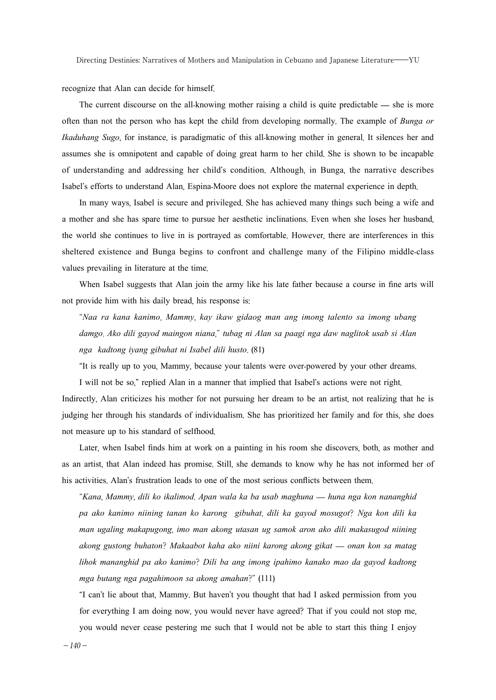recognize that Alan can decide for himself.

The current discourse on the all-knowing mother raising a child is quite predictable — she is more often than not the person who has kept the child from developing normally. The example of *Bunga or Ikaduhang Sugo*, for instance, is paradigmatic of this all-knowing mother in general. It silences her and assumes she is omnipotent and capable of doing great harm to her child. She is shown to be incapable of understanding and addressing her child's condition. Although, in Bunga, the narrative describes Isabel's efforts to understand Alan, Espina-Moore does not explore the maternal experience in depth.

In many ways, Isabel is secure and privileged. She has achieved many things such being a wife and a mother and she has spare time to pursue her aesthetic inclinations. Even when she loses her husband, the world she continues to live in is portrayed as comfortable. However, there are interferences in this sheltered existence and Bunga begins to confront and challenge many of the Filipino middle-class values prevailing in literature at the time.

When Isabel suggests that Alan join the army like his late father because a course in fine arts will not provide him with his daily bread, his response is:

"*Naa ra kana kanimo*, *Mammy*, *kay ikaw gidaog man ang imong talento sa imong ubang damgo*. *Ako dili gayod maingon niana*," *tubag ni Alan sa paagi nga daw naglitok usab si Alan nga kadtong iyang gibuhat ni Isabel dili husto*. (81)

"It is really up to you, Mammy, because your talents were over-powered by your other dreams.

I will not be so," replied Alan in a manner that implied that Isabel's actions were not right. Indirectly, Alan criticizes his mother for not pursuing her dream to be an artist, not realizing that he is judging her through his standards of individualism. She has prioritized her family and for this, she does not measure up to his standard of selfhood.

Later, when Isabel finds him at work on a painting in his room she discovers, both, as mother and as an artist, that Alan indeed has promise. Still, she demands to know why he has not informed her of his activities. Alan's frustration leads to one of the most serious conflicts between them.

"*Kana*, *Mammy*, *dili ko ikalimod*. *Apan wala ka ba usab maghuna* — *huna nga kon nananghid pa ako kanimo niining tanan ko karong gibuhat*, *dili ka gayod mosugot*? *Nga kon dili ka man ugaling makapugong*, *imo man akong utasan ug samok aron ako dili makasugod niining akong gustong buhaton*? *Makaabot kaha ako niini karong akong gikat* — *onan kon sa matag lihok mananghid pa ako kanimo*? *Dili ba ang imong ipahimo kanako mao da gayod kadtong mga butang nga pagahimoon sa akong amahan*?" (111)

"I can't lie about that, Mammy. But haven't you thought that had I asked permission from you for everything I am doing now, you would never have agreed? That if you could not stop me, you would never cease pestering me such that I would not be able to start this thing I enjoy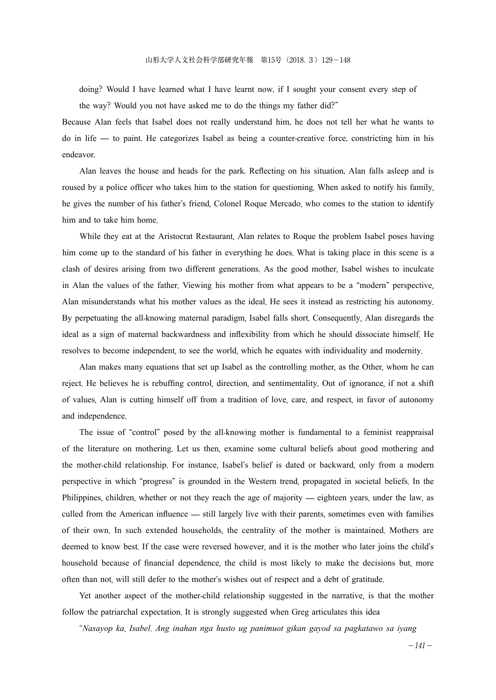doing? Would I have learned what I have learnt now, if I sought your consent every step of the way? Would you not have asked me to do the things my father did?"

Because Alan feels that Isabel does not really understand him, he does not tell her what he wants to do in life — to paint. He categorizes Isabel as being a counter-creative force, constricting him in his endeavor.

Alan leaves the house and heads for the park. Reflecting on his situation, Alan falls asleep and is roused by a police officer who takes him to the station for questioning. When asked to notify his family, he gives the number of his father's friend, Colonel Roque Mercado, who comes to the station to identify him and to take him home.

While they eat at the Aristocrat Restaurant, Alan relates to Roque the problem Isabel poses having him come up to the standard of his father in everything he does. What is taking place in this scene is a clash of desires arising from two different generations. As the good mother, Isabel wishes to inculcate in Alan the values of the father. Viewing his mother from what appears to be a "modern" perspective, Alan misunderstands what his mother values as the ideal. He sees it instead as restricting his autonomy. By perpetuating the all-knowing maternal paradigm, Isabel falls short. Consequently, Alan disregards the ideal as a sign of maternal backwardness and inflexibility from which he should dissociate himself. He resolves to become independent, to see the world, which he equates with individuality and modernity.

Alan makes many equations that set up Isabel as the controlling mother, as the Other, whom he can reject. He believes he is rebuffing control, direction, and sentimentality. Out of ignorance, if not a shift of values, Alan is cutting himself off from a tradition of love, care, and respect, in favor of autonomy and independence.

The issue of "control" posed by the all-knowing mother is fundamental to a feminist reappraisal of the literature on mothering. Let us then, examine some cultural beliefs about good mothering and the mother-child relationship. For instance, Isabel's belief is dated or backward, only from a modern perspective in which "progress" is grounded in the Western trend, propagated in societal beliefs. In the Philippines, children, whether or not they reach the age of majority — eighteen years, under the law, as culled from the American influence — still largely live with their parents, sometimes even with families of their own. In such extended households, the centrality of the mother is maintained. Mothers are deemed to know best. If the case were reversed however, and it is the mother who later joins the child's household because of financial dependence, the child is most likely to make the decisions but, more often than not, will still defer to the mother's wishes out of respect and a debt of gratitude.

Yet another aspect of the mother-child relationship suggested in the narrative, is that the mother follow the patriarchal expectation. It is strongly suggested when Greg articulates this idea

"*Nasayop ka*, *Isabel*. *Ang inahan nga husto ug panimuot gikan gayod sa pagkatawo sa iyang*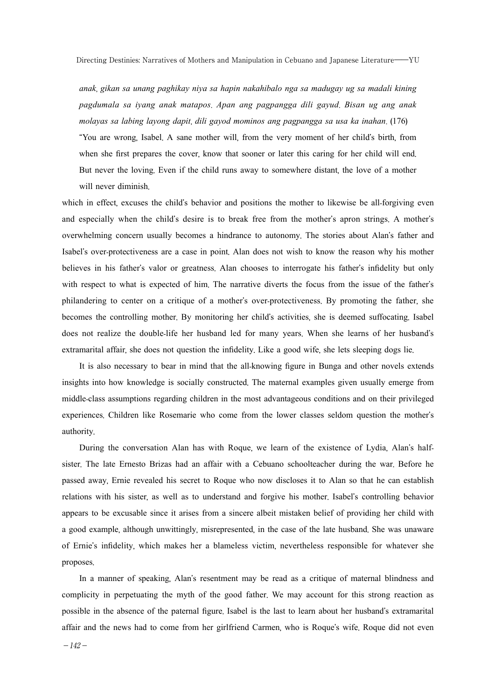*anak*, *gikan sa unang paghikay niya sa hapin nakahibalo nga sa madugay ug sa madali kining pagdumala sa iyang anak matapos*. *Apan ang pagpangga dili gayud*. *Bisan ug ang anak molayas sa labing layong dapit*, *dili gayod mominos ang pagpangga sa usa ka inahan*. (176) "You are wrong, Isabel. A sane mother will, from the very moment of her child's birth, from when she first prepares the cover, know that sooner or later this caring for her child will end. But never the loving. Even if the child runs away to somewhere distant, the love of a mother will never diminish.

which in effect, excuses the child's behavior and positions the mother to likewise be all-forgiving even and especially when the child's desire is to break free from the mother's apron strings. A mother's overwhelming concern usually becomes a hindrance to autonomy. The stories about Alan's father and Isabel's over-protectiveness are a case in point. Alan does not wish to know the reason why his mother believes in his father's valor or greatness. Alan chooses to interrogate his father's infidelity but only with respect to what is expected of him. The narrative diverts the focus from the issue of the father's philandering to center on a critique of a mother's over-protectiveness. By promoting the father, she becomes the controlling mother. By monitoring her child's activities, she is deemed suffocating. Isabel does not realize the double-life her husband led for many years. When she learns of her husband's extramarital affair, she does not question the infidelity. Like a good wife, she lets sleeping dogs lie.

It is also necessary to bear in mind that the all-knowing figure in Bunga and other novels extends insights into how knowledge is socially constructed. The maternal examples given usually emerge from middle-class assumptions regarding children in the most advantageous conditions and on their privileged experiences. Children like Rosemarie who come from the lower classes seldom question the mother's authority.

During the conversation Alan has with Roque, we learn of the existence of Lydia, Alan's halfsister. The late Ernesto Brizas had an affair with a Cebuano schoolteacher during the war. Before he passed away, Ernie revealed his secret to Roque who now discloses it to Alan so that he can establish relations with his sister, as well as to understand and forgive his mother. Isabel's controlling behavior appears to be excusable since it arises from a sincere albeit mistaken belief of providing her child with a good example, although unwittingly, misrepresented, in the case of the late husband. She was unaware of Ernie's infidelity, which makes her a blameless victim, nevertheless responsible for whatever she proposes.

In a manner of speaking, Alan's resentment may be read as a critique of maternal blindness and complicity in perpetuating the myth of the good father. We may account for this strong reaction as possible in the absence of the paternal figure. Isabel is the last to learn about her husband's extramarital affair and the news had to come from her girlfriend Carmen, who is Roque's wife. Roque did not even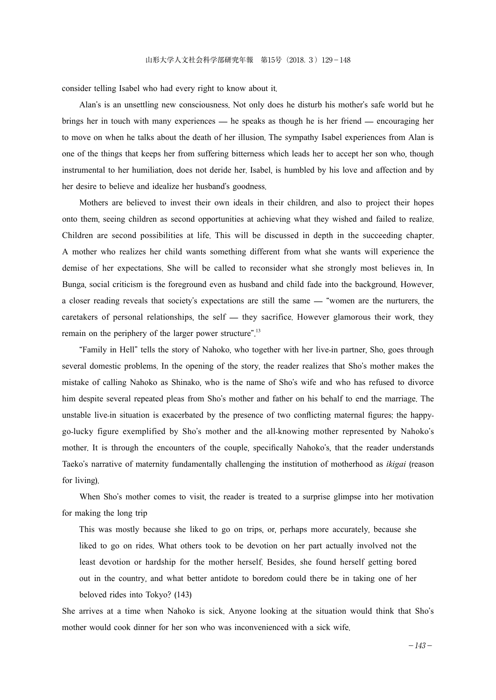consider telling Isabel who had every right to know about it.

Alan's is an unsettling new consciousness. Not only does he disturb his mother's safe world but he brings her in touch with many experiences — he speaks as though he is her friend — encouraging her to move on when he talks about the death of her illusion. The sympathy Isabel experiences from Alan is one of the things that keeps her from suffering bitterness which leads her to accept her son who, though instrumental to her humiliation, does not deride her. Isabel, is humbled by his love and affection and by her desire to believe and idealize her husband's goodness.

Mothers are believed to invest their own ideals in their children, and also to project their hopes onto them, seeing children as second opportunities at achieving what they wished and failed to realize. Children are second possibilities at life. This will be discussed in depth in the succeeding chapter. A mother who realizes her child wants something different from what she wants will experience the demise of her expectations. She will be called to reconsider what she strongly most believes in. In Bunga, social criticism is the foreground even as husband and child fade into the background. However, a closer reading reveals that society's expectations are still the same — "women are the nurturers, the caretakers of personal relationships, the self — they sacrifice. However glamorous their work, they remain on the periphery of the larger power structure".<sup>13</sup>

"Family in Hell" tells the story of Nahoko, who together with her live-in partner, Sho, goes through several domestic problems. In the opening of the story, the reader realizes that Sho's mother makes the mistake of calling Nahoko as Shinako, who is the name of Sho's wife and who has refused to divorce him despite several repeated pleas from Sho's mother and father on his behalf to end the marriage. The unstable live-in situation is exacerbated by the presence of two conflicting maternal figures: the happygo-lucky figure exemplified by Sho's mother and the all-knowing mother represented by Nahoko's mother. It is through the encounters of the couple, specifically Nahoko's, that the reader understands Taeko's narrative of maternity fundamentally challenging the institution of motherhood as *ikigai* (reason for living).

When Sho's mother comes to visit, the reader is treated to a surprise glimpse into her motivation for making the long trip

This was mostly because she liked to go on trips, or, perhaps more accurately, because she liked to go on rides. What others took to be devotion on her part actually involved not the least devotion or hardship for the mother herself. Besides, she found herself getting bored out in the country, and what better antidote to boredom could there be in taking one of her beloved rides into Tokyo? (143)

She arrives at a time when Nahoko is sick. Anyone looking at the situation would think that Sho's mother would cook dinner for her son who was inconvenienced with a sick wife.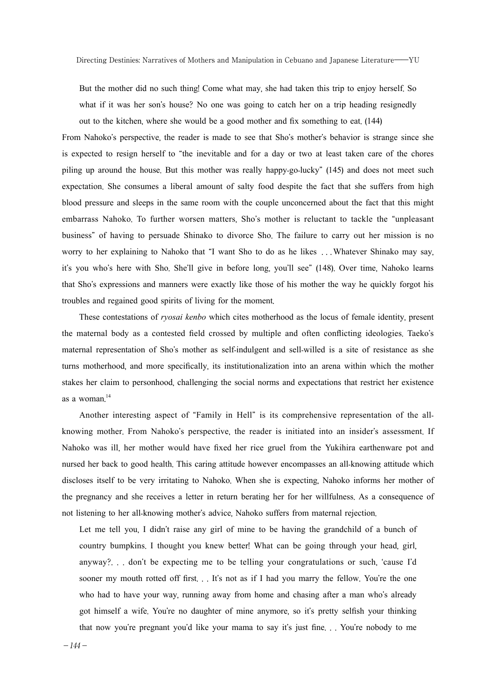But the mother did no such thing! Come what may, she had taken this trip to enjoy herself. So what if it was her son's house? No one was going to catch her on a trip heading resignedly out to the kitchen, where she would be a good mother and fix something to eat. (144)

From Nahoko's perspective, the reader is made to see that Sho's mother's behavior is strange since she is expected to resign herself to "the inevitable and for a day or two at least taken care of the chores piling up around the house. But this mother was really happy-go-lucky" (145) and does not meet such expectation. She consumes a liberal amount of salty food despite the fact that she suffers from high blood pressure and sleeps in the same room with the couple unconcerned about the fact that this might embarrass Nahoko. To further worsen matters, Sho's mother is reluctant to tackle the "unpleasant business" of having to persuade Shinako to divorce Sho. The failure to carry out her mission is no worry to her explaining to Nahoko that "I want Sho to do as he likes ...Whatever Shinako may say, it's you who's here with Sho. She'll give in before long, you'll see" (148). Over time, Nahoko learns that Sho's expressions and manners were exactly like those of his mother the way he quickly forgot his troubles and regained good spirits of living for the moment.

These contestations of *ryosai kenbo* which cites motherhood as the locus of female identity, present the maternal body as a contested field crossed by multiple and often conflicting ideologies. Taeko's maternal representation of Sho's mother as self-indulgent and sell-willed is a site of resistance as she turns motherhood, and more specifically, its institutionalization into an arena within which the mother stakes her claim to personhood, challenging the social norms and expectations that restrict her existence as a woman. 14

Another interesting aspect of "Family in Hell" is its comprehensive representation of the allknowing mother. From Nahoko's perspective, the reader is initiated into an insider's assessment. If Nahoko was ill, her mother would have fixed her rice gruel from the Yukihira earthenware pot and nursed her back to good health. This caring attitude however encompasses an all-knowing attitude which discloses itself to be very irritating to Nahoko. When she is expecting, Nahoko informs her mother of the pregnancy and she receives a letter in return berating her for her willfulness. As a consequence of not listening to her all-knowing mother's advice, Nahoko suffers from maternal rejection.

Let me tell you, I didn't raise any girl of mine to be having the grandchild of a bunch of country bumpkins. I thought you knew better! What can be going through your head, girl, anyway?. . . don't be expecting me to be telling your congratulations or such, 'cause I'd sooner my mouth rotted off first. . . It's not as if I had you marry the fellow. You're the one who had to have your way, running away from home and chasing after a man who's already got himself a wife. You're no daughter of mine anymore, so it's pretty selfish your thinking that now you're pregnant you'd like your mama to say it's just fine. . . You're nobody to me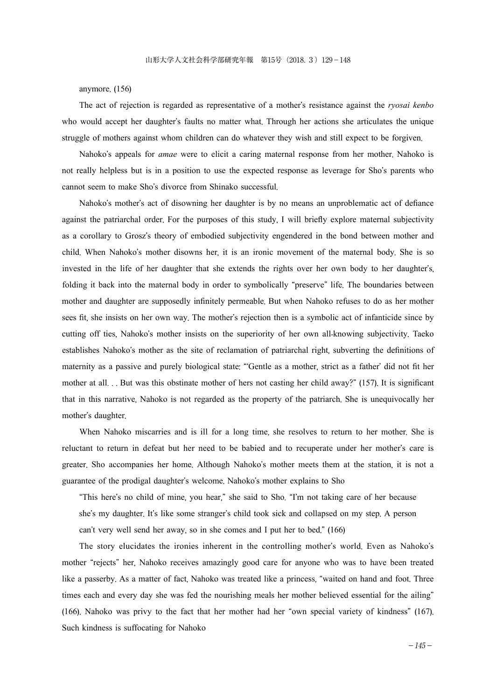anymore. (156)

The act of rejection is regarded as representative of a mother's resistance against the *ryosai kenbo* who would accept her daughter's faults no matter what. Through her actions she articulates the unique struggle of mothers against whom children can do whatever they wish and still expect to be forgiven.

Nahoko's appeals for *amae* were to elicit a caring maternal response from her mother. Nahoko is not really helpless but is in a position to use the expected response as leverage for Sho's parents who cannot seem to make Sho's divorce from Shinako successful.

Nahoko's mother's act of disowning her daughter is by no means an unproblematic act of defiance against the patriarchal order. For the purposes of this study, I will briefly explore maternal subjectivity as a corollary to Grosz's theory of embodied subjectivity engendered in the bond between mother and child. When Nahoko's mother disowns her, it is an ironic movement of the maternal body. She is so invested in the life of her daughter that she extends the rights over her own body to her daughter's, folding it back into the maternal body in order to symbolically "preserve" life. The boundaries between mother and daughter are supposedly infinitely permeable. But when Nahoko refuses to do as her mother sees fit, she insists on her own way. The mother's rejection then is a symbolic act of infanticide since by cutting off ties, Nahoko's mother insists on the superiority of her own all-knowing subjectivity. Taeko establishes Nahoko's mother as the site of reclamation of patriarchal right, subverting the definitions of maternity as a passive and purely biological state: "ʻGentle as a mother, strict as a father' did not fit her mother at all. . . But was this obstinate mother of hers not casting her child away?" (157). It is significant that in this narrative, Nahoko is not regarded as the property of the patriarch. She is unequivocally her mother's daughter.

When Nahoko miscarries and is ill for a long time, she resolves to return to her mother. She is reluctant to return in defeat but her need to be babied and to recuperate under her mother's care is greater. Sho accompanies her home. Although Nahoko's mother meets them at the station, it is not a guarantee of the prodigal daughter's welcome. Nahoko's mother explains to Sho

"This here's no child of mine, you hear," she said to Sho. "I'm not taking care of her because she's my daughter. It's like some stranger's child took sick and collapsed on my step. A person can't very well send her away, so in she comes and I put her to bed." (166)

The story elucidates the ironies inherent in the controlling mother's world. Even as Nahoko's mother "rejects" her, Nahoko receives amazingly good care for anyone who was to have been treated like a passerby. As a matter of fact, Nahoko was treated like a princess, "waited on hand and foot. Three times each and every day she was fed the nourishing meals her mother believed essential for the ailing" (166). Nahoko was privy to the fact that her mother had her "own special variety of kindness" (167). Such kindness is suffocating for Nahoko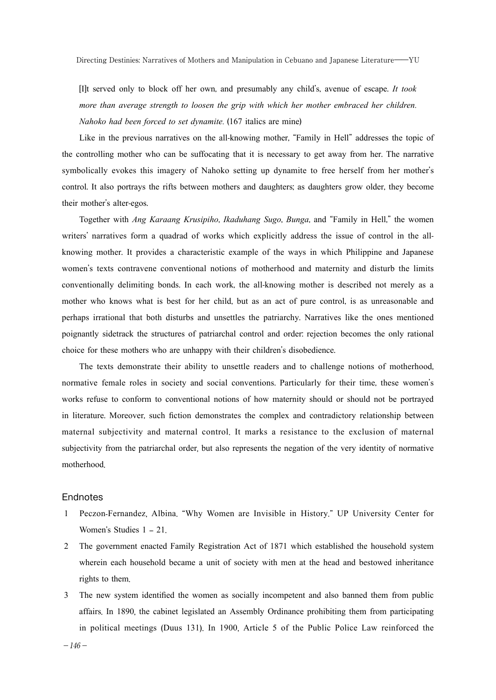[I]t served only to block off her own, and presumably any child's, avenue of escape. *It took more than average strength to loosen the grip with which her mother embraced her children*. *Nahoko had been forced to set dynamite*. (167 italics are mine)

Like in the previous narratives on the all-knowing mother, "Family in Hell" addresses the topic of the controlling mother who can be suffocating that it is necessary to get away from her. The narrative symbolically evokes this imagery of Nahoko setting up dynamite to free herself from her mother's control. It also portrays the rifts between mothers and daughters; as daughters grow older, they become their mother's alter-egos.

Together with *Ang Karaang Krusipiho*, *Ikaduhang Sugo*, *Bunga*, and "Family in Hell," the women writers' narratives form a quadrad of works which explicitly address the issue of control in the allknowing mother. It provides a characteristic example of the ways in which Philippine and Japanese women's texts contravene conventional notions of motherhood and maternity and disturb the limits conventionally delimiting bonds. In each work, the all-knowing mother is described not merely as a mother who knows what is best for her child, but as an act of pure control, is as unreasonable and perhaps irrational that both disturbs and unsettles the patriarchy. Narratives like the ones mentioned poignantly sidetrack the structures of patriarchal control and order: rejection becomes the only rational choice for these mothers who are unhappy with their children's disobedience.

The texts demonstrate their ability to unsettle readers and to challenge notions of motherhood, normative female roles in society and social conventions. Particularly for their time, these women's works refuse to conform to conventional notions of how maternity should or should not be portrayed in literature. Moreover, such fiction demonstrates the complex and contradictory relationship between maternal subjectivity and maternal control. It marks a resistance to the exclusion of maternal subjectivity from the patriarchal order, but also represents the negation of the very identity of normative motherhood.

#### **Endnotes**

- 1 Peczon-Fernandez, Albina. "Why Women are Invisible in History." UP University Center for Women's Studies 1 – 21.
- 2 The government enacted Family Registration Act of 1871 which established the household system wherein each household became a unit of society with men at the head and bestowed inheritance rights to them.
- 3 The new system identified the women as socially incompetent and also banned them from public affairs. In 1890, the cabinet legislated an Assembly Ordinance prohibiting them from participating in political meetings (Duus 131). In 1900, Article 5 of the Public Police Law reinforced the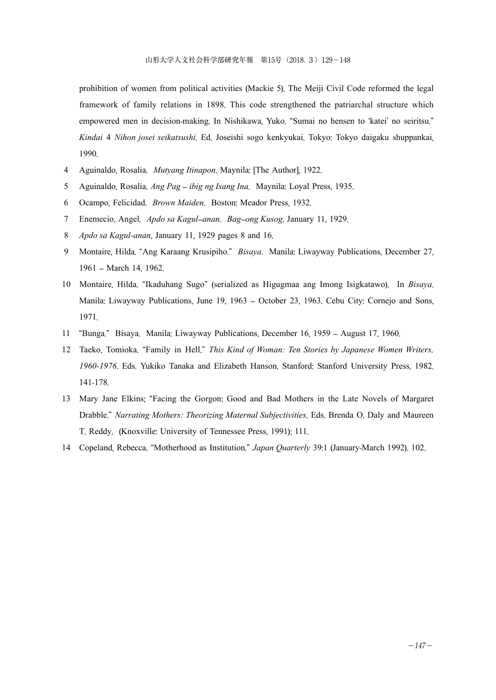prohibition of women from political activities (Mackie 5). The Meiji Civil Code reformed the legal framework of family relations in 1898. This code strengthened the patriarchal structure which empowered men in decision-making. In Nishikawa, Yuko. "Sumai no hensen to 'katei' no seiritsu." *Kindai* 4 *Nihon josei seikatsushi*. Ed. Joseishi sogo kenkyukai. Tokyo: Tokyo daigaku shuppankai, 1990.

- 4 Aguinaldo, Rosalia. *Mutyang Itinapon*. Maynila: [The Author], 1922.
- 5 Aguinaldo, Rosalia. *Ang Pag* – *ibig ng Isang Ina*. Maynila: Loyal Press, 1935.
- 6 Ocampo, Felicidad. *Brown Maiden*. Boston: Meador Press, 1932.
- 7 Enemecio, Angel. *Apdo sa Kagul*–*anan*. *Bag*–*ong Kusog*. January 11, 1929.
- 8 *Apdo sa Kagul-anan*, January 11, 1929 pages 8 and 16.
- 9 Montaire, Hilda. "Ang Karaang Krusipiho." *Bisaya*. Manila: Liwayway Publications, December 27, 1961 – March 14, 1962.
- 10 Montaire, Hilda. "Ikaduhang Sugo" (serialized as Higugmaa ang Imong Isigkatawo). In *Bisaya*. Manila: Liwayway Publications, June 19, 1963 – October 23, 1963. Cebu City: Cornejo and Sons, 1971.
- 11 "Bunga." Bisaya. Manila: Liwayway Publications, December 16, 1959 August 17, 1960.
- 12 Taeko, Tomioka. "Family in Hell." *This Kind of Woman: Ten Stories by Japanese Women Writers, 1960-1976*. Eds. Yukiko Tanaka and Elizabeth Hanson. Stanford: Stanford University Press, 1982. 141-178.
- 13 Mary Jane Elkins; "Facing the Gorgon: Good and Bad Mothers in the Late Novels of Margaret Drabble." *Narrating Mothers: Theorizing Maternal Subjectivities*. Eds. Brenda O. Daly and Maureen T. Reddy. (Knoxville: University of Tennessee Press, 1991); 111.
- 14 Copeland, Rebecca. "Motherhood as Institution." *Japan Quarterly* 39:1 (January-March 1992). 102.